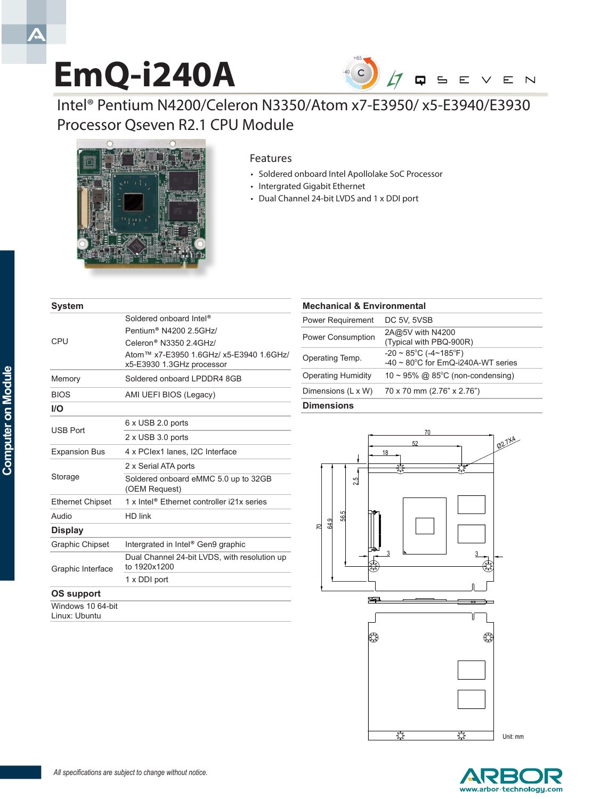# **EmQ-i240A**



Intel® Pentium N4200/Celeron N3350/Atom x7-E3950/ x5-E3940/E3930 Processor Qseven R2.1 CPU Module



#### Features

- Soldered onboard Intel Apollolake SoC Processor
- Intergrated Gigabit Ethernet
- Dual Channel 24-bit LVDS and 1 x DDI port

| <b>System</b>                      |                                                                      |
|------------------------------------|----------------------------------------------------------------------|
| CPU                                | Soldered onboard Intel <sup>®</sup>                                  |
|                                    | Pentium <sup>®</sup> N4200 2 5GHz/                                   |
|                                    | Celeron <sup>®</sup> N3350 2.4GHz/                                   |
|                                    | Atom™ x7-E3950 1.6GHz/ x5-E3940 1.6GHz/<br>x5-E3930 1.3GHz processor |
| Memory                             | Soldered onboard LPDDR4 8GB                                          |
| <b>BIOS</b>                        | AMI UEFI BIOS (Legacy)                                               |
| I/O                                |                                                                      |
| <b>USB Port</b>                    | 6 x USB 2.0 ports                                                    |
|                                    | 2 x USB 3.0 ports                                                    |
| <b>Expansion Bus</b>               | 4 x PClex1 lanes, I2C Interface                                      |
| Storage                            | 2 x Serial ATA ports                                                 |
|                                    | Soldered onboard eMMC 5.0 up to 32GB<br>(OEM Request)                |
| <b>Ethernet Chipset</b>            | 1 x Intel <sup>®</sup> Ethernet controller i21x series               |
| Audio                              | HD link                                                              |
| <b>Display</b>                     |                                                                      |
| <b>Graphic Chipset</b>             | Intergrated in Intel <sup>®</sup> Gen9 graphic                       |
| Graphic Interface                  | Dual Channel 24-bit LVDS, with resolution up<br>to 1920x1200         |
|                                    | 1 x DDI port                                                         |
| OS support                         |                                                                      |
| Windows 10 64-bit<br>Linux: Ubuntu |                                                                      |

#### **Mechanical & Environmental**

| Dimensions (L x W)        | 70 x 70 mm (2.76" x 2.76")                                                                    |
|---------------------------|-----------------------------------------------------------------------------------------------|
| <b>Operating Humidity</b> | 10 ~ 95% @ 85°C (non-condensing)                                                              |
| Operating Temp.           | $-20 \sim 85^{\circ}$ C ( $-4 \sim 185^{\circ}$ F)<br>-40 $\sim$ 80°C for EmQ-i240A-WT series |
| <b>Power Consumption</b>  | 2A@5V with N4200<br>(Typical with PBQ-900R)                                                   |
| Power Requirement         | DC 5V, 5VSB                                                                                   |

#### **Dimensions**





 $\blacktriangle$